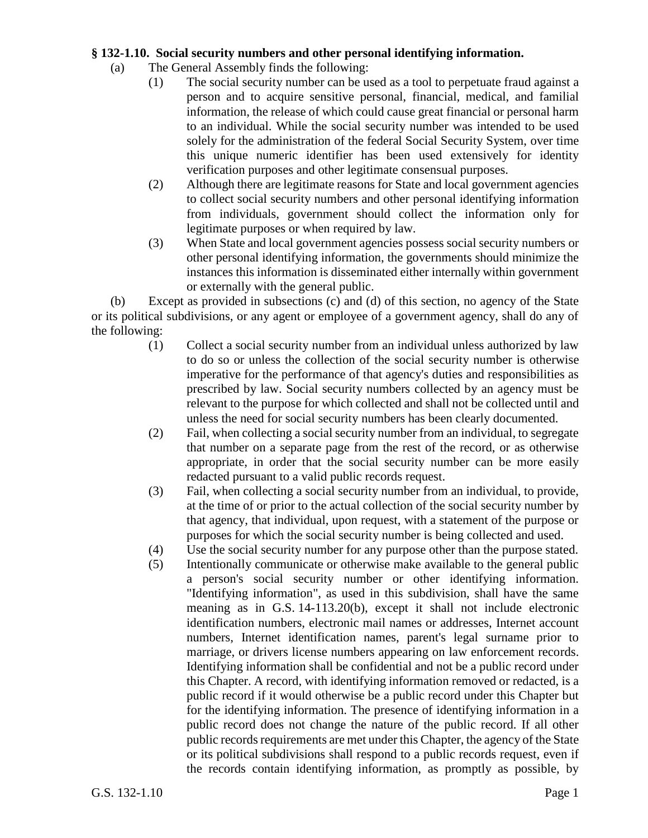## **§ 132-1.10. Social security numbers and other personal identifying information.**

- (a) The General Assembly finds the following:
	- (1) The social security number can be used as a tool to perpetuate fraud against a person and to acquire sensitive personal, financial, medical, and familial information, the release of which could cause great financial or personal harm to an individual. While the social security number was intended to be used solely for the administration of the federal Social Security System, over time this unique numeric identifier has been used extensively for identity verification purposes and other legitimate consensual purposes.
	- (2) Although there are legitimate reasons for State and local government agencies to collect social security numbers and other personal identifying information from individuals, government should collect the information only for legitimate purposes or when required by law.
	- (3) When State and local government agencies possess social security numbers or other personal identifying information, the governments should minimize the instances this information is disseminated either internally within government or externally with the general public.

(b) Except as provided in subsections (c) and (d) of this section, no agency of the State or its political subdivisions, or any agent or employee of a government agency, shall do any of the following:

- (1) Collect a social security number from an individual unless authorized by law to do so or unless the collection of the social security number is otherwise imperative for the performance of that agency's duties and responsibilities as prescribed by law. Social security numbers collected by an agency must be relevant to the purpose for which collected and shall not be collected until and unless the need for social security numbers has been clearly documented.
- (2) Fail, when collecting a social security number from an individual, to segregate that number on a separate page from the rest of the record, or as otherwise appropriate, in order that the social security number can be more easily redacted pursuant to a valid public records request.
- (3) Fail, when collecting a social security number from an individual, to provide, at the time of or prior to the actual collection of the social security number by that agency, that individual, upon request, with a statement of the purpose or purposes for which the social security number is being collected and used.
- (4) Use the social security number for any purpose other than the purpose stated.
- (5) Intentionally communicate or otherwise make available to the general public a person's social security number or other identifying information. "Identifying information", as used in this subdivision, shall have the same meaning as in G.S. 14-113.20(b), except it shall not include electronic identification numbers, electronic mail names or addresses, Internet account numbers, Internet identification names, parent's legal surname prior to marriage, or drivers license numbers appearing on law enforcement records. Identifying information shall be confidential and not be a public record under this Chapter. A record, with identifying information removed or redacted, is a public record if it would otherwise be a public record under this Chapter but for the identifying information. The presence of identifying information in a public record does not change the nature of the public record. If all other public records requirements are met under this Chapter, the agency of the State or its political subdivisions shall respond to a public records request, even if the records contain identifying information, as promptly as possible, by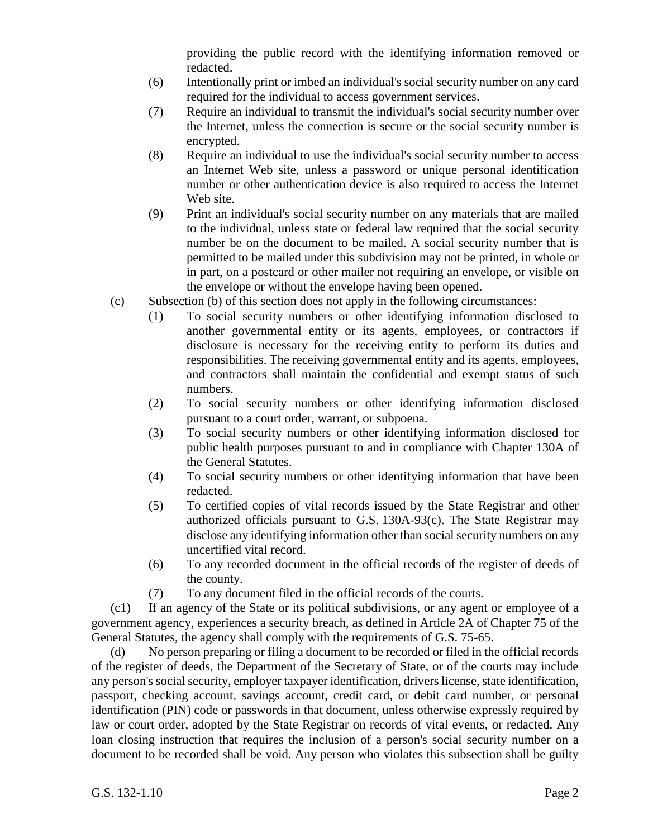providing the public record with the identifying information removed or redacted.

- (6) Intentionally print or imbed an individual's social security number on any card required for the individual to access government services.
- (7) Require an individual to transmit the individual's social security number over the Internet, unless the connection is secure or the social security number is encrypted.
- (8) Require an individual to use the individual's social security number to access an Internet Web site, unless a password or unique personal identification number or other authentication device is also required to access the Internet Web site.
- (9) Print an individual's social security number on any materials that are mailed to the individual, unless state or federal law required that the social security number be on the document to be mailed. A social security number that is permitted to be mailed under this subdivision may not be printed, in whole or in part, on a postcard or other mailer not requiring an envelope, or visible on the envelope or without the envelope having been opened.
- (c) Subsection (b) of this section does not apply in the following circumstances:
	- (1) To social security numbers or other identifying information disclosed to another governmental entity or its agents, employees, or contractors if disclosure is necessary for the receiving entity to perform its duties and responsibilities. The receiving governmental entity and its agents, employees, and contractors shall maintain the confidential and exempt status of such numbers.
	- (2) To social security numbers or other identifying information disclosed pursuant to a court order, warrant, or subpoena.
	- (3) To social security numbers or other identifying information disclosed for public health purposes pursuant to and in compliance with Chapter 130A of the General Statutes.
	- (4) To social security numbers or other identifying information that have been redacted.
	- (5) To certified copies of vital records issued by the State Registrar and other authorized officials pursuant to G.S. 130A-93(c). The State Registrar may disclose any identifying information other than social security numbers on any uncertified vital record.
	- (6) To any recorded document in the official records of the register of deeds of the county.
	- (7) To any document filed in the official records of the courts.

(c1) If an agency of the State or its political subdivisions, or any agent or employee of a government agency, experiences a security breach, as defined in Article 2A of Chapter 75 of the General Statutes, the agency shall comply with the requirements of G.S. 75-65.

(d) No person preparing or filing a document to be recorded or filed in the official records of the register of deeds, the Department of the Secretary of State, or of the courts may include any person's social security, employer taxpayer identification, drivers license, state identification, passport, checking account, savings account, credit card, or debit card number, or personal identification (PIN) code or passwords in that document, unless otherwise expressly required by law or court order, adopted by the State Registrar on records of vital events, or redacted. Any loan closing instruction that requires the inclusion of a person's social security number on a document to be recorded shall be void. Any person who violates this subsection shall be guilty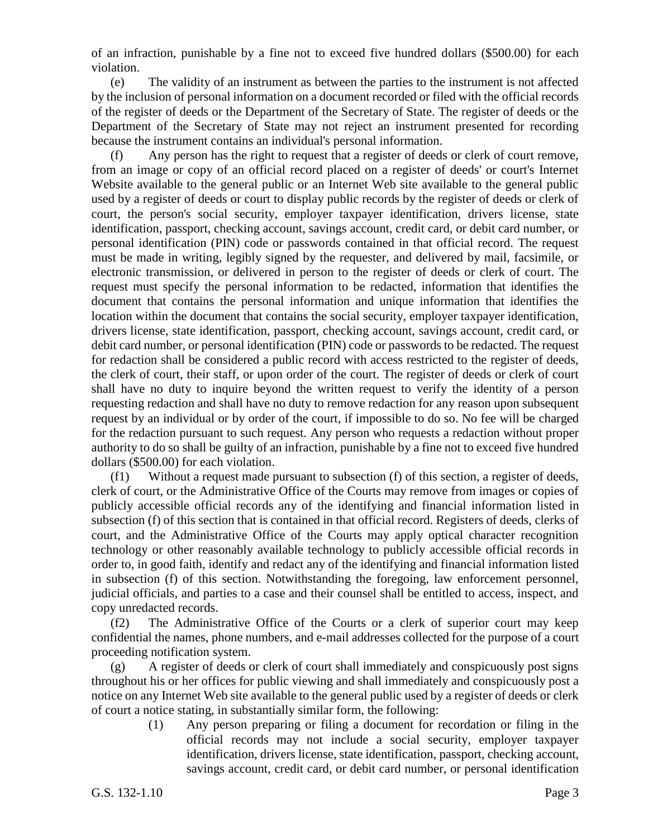of an infraction, punishable by a fine not to exceed five hundred dollars (\$500.00) for each violation.

(e) The validity of an instrument as between the parties to the instrument is not affected by the inclusion of personal information on a document recorded or filed with the official records of the register of deeds or the Department of the Secretary of State. The register of deeds or the Department of the Secretary of State may not reject an instrument presented for recording because the instrument contains an individual's personal information.

(f) Any person has the right to request that a register of deeds or clerk of court remove, from an image or copy of an official record placed on a register of deeds' or court's Internet Website available to the general public or an Internet Web site available to the general public used by a register of deeds or court to display public records by the register of deeds or clerk of court, the person's social security, employer taxpayer identification, drivers license, state identification, passport, checking account, savings account, credit card, or debit card number, or personal identification (PIN) code or passwords contained in that official record. The request must be made in writing, legibly signed by the requester, and delivered by mail, facsimile, or electronic transmission, or delivered in person to the register of deeds or clerk of court. The request must specify the personal information to be redacted, information that identifies the document that contains the personal information and unique information that identifies the location within the document that contains the social security, employer taxpayer identification, drivers license, state identification, passport, checking account, savings account, credit card, or debit card number, or personal identification (PIN) code or passwords to be redacted. The request for redaction shall be considered a public record with access restricted to the register of deeds, the clerk of court, their staff, or upon order of the court. The register of deeds or clerk of court shall have no duty to inquire beyond the written request to verify the identity of a person requesting redaction and shall have no duty to remove redaction for any reason upon subsequent request by an individual or by order of the court, if impossible to do so. No fee will be charged for the redaction pursuant to such request. Any person who requests a redaction without proper authority to do so shall be guilty of an infraction, punishable by a fine not to exceed five hundred dollars (\$500.00) for each violation.

(f1) Without a request made pursuant to subsection (f) of this section, a register of deeds, clerk of court, or the Administrative Office of the Courts may remove from images or copies of publicly accessible official records any of the identifying and financial information listed in subsection (f) of this section that is contained in that official record. Registers of deeds, clerks of court, and the Administrative Office of the Courts may apply optical character recognition technology or other reasonably available technology to publicly accessible official records in order to, in good faith, identify and redact any of the identifying and financial information listed in subsection (f) of this section. Notwithstanding the foregoing, law enforcement personnel, judicial officials, and parties to a case and their counsel shall be entitled to access, inspect, and copy unredacted records.

(f2) The Administrative Office of the Courts or a clerk of superior court may keep confidential the names, phone numbers, and e-mail addresses collected for the purpose of a court proceeding notification system.

(g) A register of deeds or clerk of court shall immediately and conspicuously post signs throughout his or her offices for public viewing and shall immediately and conspicuously post a notice on any Internet Web site available to the general public used by a register of deeds or clerk of court a notice stating, in substantially similar form, the following:

> (1) Any person preparing or filing a document for recordation or filing in the official records may not include a social security, employer taxpayer identification, drivers license, state identification, passport, checking account, savings account, credit card, or debit card number, or personal identification